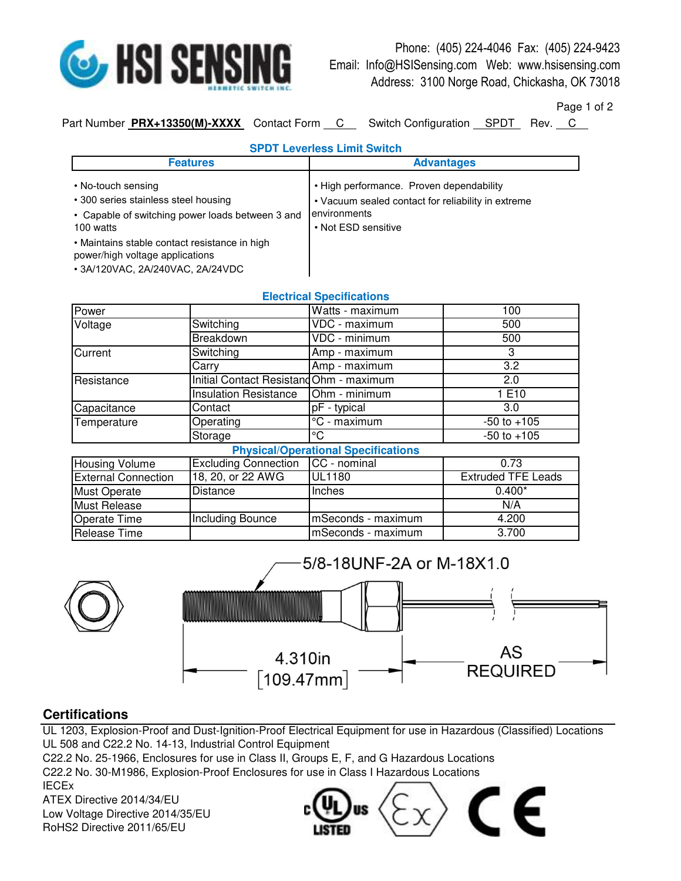

Phone: (405) 224-4046 Fax: (405) 224-9423 Email: Info@HSISensing.com Web: www.hsisensing.com Address: 3100 Norge Road, Chickasha, OK 73018

Page 1 of 2

Part Number PRX+13350(M)-XXXX Contact Form C Switch Configuration SPDT Rev. C

| <b>SPDT Leverless Limit Switch</b>                                                                                          |                                                                                                                                       |  |  |
|-----------------------------------------------------------------------------------------------------------------------------|---------------------------------------------------------------------------------------------------------------------------------------|--|--|
| <b>Features</b>                                                                                                             | <b>Advantages</b>                                                                                                                     |  |  |
| • No-touch sensing<br>• 300 series stainless steel housing<br>• Capable of switching power loads between 3 and<br>100 watts | • High performance. Proven dependability<br>• Vacuum sealed contact for reliability in extreme<br>environments<br>• Not ESD sensitive |  |  |
| • Maintains stable contact resistance in high<br>power/high voltage applications<br>• 3A/120VAC, 2A/240VAC, 2A/24VDC        |                                                                                                                                       |  |  |

| <b>Electrical Specifications</b>           |                                         |                    |                           |  |
|--------------------------------------------|-----------------------------------------|--------------------|---------------------------|--|
| Power                                      |                                         | Watts - maximum    | 100                       |  |
| Voltage                                    | Switching                               | VDC - maximum      | 500                       |  |
|                                            | <b>Breakdown</b>                        | VDC - minimum      | 500                       |  |
| Current                                    | Switching                               | Amp - maximum      | 3                         |  |
|                                            | Carry                                   | Amp - maximum      | 3.2                       |  |
| Resistance                                 | Initial Contact Resistand Ohm - maximum |                    | 2.0                       |  |
|                                            | <b>Insulation Resistance</b>            | Ohm - minimum      | 1 E10                     |  |
| Capacitance                                | Contact                                 | pF - typical       | 3.0                       |  |
| Temperature                                | Operating                               | °C - maximum       | $-50$ to $+105$           |  |
|                                            | Storage                                 | °C                 | $-50$ to $+105$           |  |
| <b>Physical/Operational Specifications</b> |                                         |                    |                           |  |
| Housing Volume                             | <b>Excluding Connection</b>             | CC - nominal       | 0.73                      |  |
| <b>External Connection</b>                 | 18, 20, or 22 AWG                       | <b>UL1180</b>      | <b>Extruded TFE Leads</b> |  |
| <b>Must Operate</b>                        | <b>Distance</b>                         | Inches             | $0.400*$                  |  |
| Must Release                               |                                         |                    | N/A                       |  |
| Operate Time                               | Including Bounce                        | mSeconds - maximum | 4.200                     |  |
| Release Time                               |                                         | mSeconds - maximum | 3.700                     |  |



## **Certifications**

UL 1203, Explosion-Proof and Dust-Ignition-Proof Electrical Equipment for use in Hazardous (Classified) Locations UL 508 and C22.2 No. 14-13, Industrial Control Equipment

C22.2 No. 25-1966, Enclosures for use in Class II, Groups E, F, and G Hazardous Locations C22.2 No. 30-M1986, Explosion-Proof Enclosures for use in Class I Hazardous Locations IECEx

ATEX Directive 2014/34/EU

Low Voltage Directive 2014/35/EU RoHS2 Directive 2011/65/EU